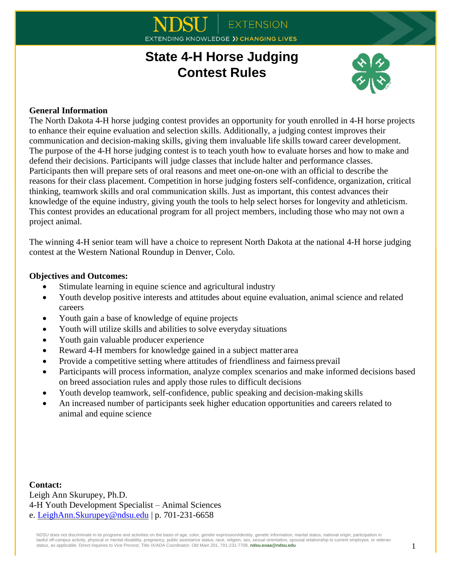# **EXTENSION IDING KNOWLEDGE >> CHANGING LIVES**

# **State 4-H Horse Judging Contest Rules**



## **General Information**

The North Dakota 4-H horse judging contest provides an opportunity for youth enrolled in 4-H horse projects to enhance their equine evaluation and selection skills. Additionally, a judging contest improves their communication and decision-making skills, giving them invaluable life skills toward career development. The purpose of the 4-H horse judging contest is to teach youth how to evaluate horses and how to make and defend their decisions. Participants will judge classes that include halter and performance classes. Participants then will prepare sets of oral reasons and meet one-on-one with an official to describe the reasons for their class placement. Competition in horse judging fosters self-confidence, organization, critical thinking, teamwork skills and oral communication skills. Just as important, this contest advances their knowledge of the equine industry, giving youth the tools to help select horses for longevity and athleticism. This contest provides an educational program for all project members, including those who may not own a project animal.

The winning 4-H senior team will have a choice to represent North Dakota at the national 4-H horse judging contest at the Western National Roundup in Denver, Colo.

## **Objectives and Outcomes:**

- Stimulate learning in equine science and agricultural industry
- Youth develop positive interests and attitudes about equine evaluation, animal science and related careers
- Youth gain a base of knowledge of equine projects
- Youth will utilize skills and abilities to solve everyday situations
- Youth gain valuable producer experience
- Reward 4-H members for knowledge gained in a subject matter area
- Provide a competitive setting where attitudes of friendliness and fairness prevail
- Participants will process information, analyze complex scenarios and make informed decisions based on breed association rules and apply those rules to difficult decisions
- Youth develop teamwork, self-confidence, public speaking and decision-making skills
- An increased number of participants seek higher education opportunities and careers related to animal and equine science

**Contact:** Leigh Ann Skurupey, Ph.D. 4-H Youth Development Specialist – Animal Sciences e. [LeighAnn.Skurupey@ndsu.edu](mailto:LeighAnn.Skurupey@ndsu.edu) | p. 701-231-6658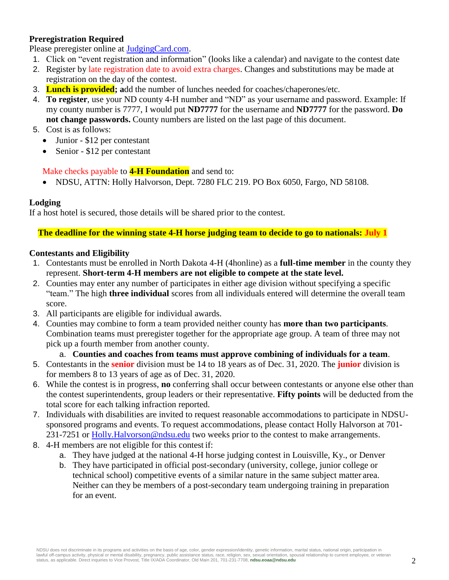## **Preregistration Required**

Please preregister online at [JudgingCard.com.](https://www.judgingcard.com/)

- 1. Click on "event registration and information" (looks like a calendar) and navigate to the contest date
- 2. Register by late registration date to avoid extra charges. Changes and substitutions may be made at registration on the day of the contest.
- 3. **Lunch is provided; a**dd the number of lunches needed for coaches/chaperones/etc.
- 4. **To register**, use your ND county 4-H number and "ND" as your username and password. Example: If my county number is 7777, I would put **ND7777** for the username and **ND7777** for the password. **Do not change passwords.** County numbers are listed on the last page of this document.
- 5. Cost is as follows:
	- Junior \$12 per contestant
	- Senior \$12 per contestant

#### Make checks payable to **4-H Foundation** and send to:

• NDSU, ATTN: Holly Halvorson, Dept. 7280 FLC 219. PO Box 6050, Fargo, ND 58108.

#### **Lodging**

If a host hotel is secured, those details will be shared prior to the contest.

**The deadline for the winning state 4-H horse judging team to decide to go to nationals: July 1**

#### **Contestants and Eligibility**

- 1. Contestants must be enrolled in North Dakota 4-H (4honline) as a **full-time member** in the county they represent. **Short-term 4-H members are not eligible to compete at the state level.**
- 2. Counties may enter any number of participates in either age division without specifying a specific "team." The high **three individual** scores from all individuals entered will determine the overall team score.
- 3. All participants are eligible for individual awards.
- 4. Counties may combine to form a team provided neither county has **more than two participants**. Combination teams must preregister together for the appropriate age group. A team of three may not pick up a fourth member from another county.
	- a. **Counties and coaches from teams must approve combining of individuals for a team**.
- 5. Contestants in the **senior** division must be 14 to 18 years as of Dec. 31, 2020. The **junior** division is for members 8 to 13 years of age as of Dec. 31, 2020.
- 6. While the contest is in progress, **no** conferring shall occur between contestants or anyone else other than the contest superintendents, group leaders or their representative. **Fifty points** will be deducted from the total score for each talking infraction reported.
- 7. Individuals with disabilities are invited to request reasonable accommodations to participate in NDSUsponsored programs and events. To request accommodations, please contact Holly Halvorson at 701- 231-7251 or Holly. Halvorson @ndsu.edu two weeks prior to the contest to make arrangements.
- 8. 4-H members are not eligible for this contest if:
	- a. They have judged at the national 4-H horse judging contest in Louisville, Ky., or Denver
	- b. They have participated in official post-secondary (university, college, junior college or technical school) competitive events of a similar nature in the same subject matter area. Neither can they be members of a post-secondary team undergoing training in preparation for an event.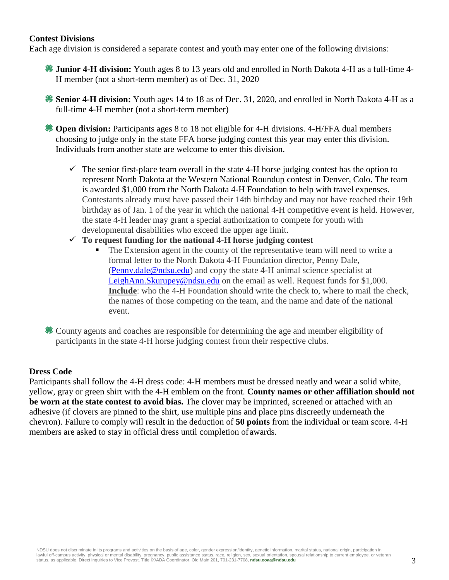#### **Contest Divisions**

Each age division is considered a separate contest and youth may enter one of the following divisions:

- **Junior 4-H division:** Youth ages 8 to 13 years old and enrolled in North Dakota 4-H as a full-time 4- H member (not a short-term member) as of Dec. 31, 2020
- **Senior 4-H division:** Youth ages 14 to 18 as of Dec. 31, 2020, and enrolled in North Dakota 4-H as a full-time 4-H member (not a short-term member)

**Open division:** Participants ages 8 to 18 not eligible for 4-H divisions. 4-H/FFA dual members choosing to judge only in the state FFA horse judging contest this year may enter this division. Individuals from another state are welcome to enter this division.

- $\checkmark$  The senior first-place team overall in the state 4-H horse judging contest has the option to represent North Dakota at the Western National Roundup contest in Denver, Colo. The team is awarded \$1,000 from the North Dakota 4-H Foundation to help with travel expenses. Contestants already must have passed their 14th birthday and may not have reached their 19th birthday as of Jan. 1 of the year in which the national 4-H competitive event is held. However, the state 4-H leader may grant a special authorization to compete for youth with developmental disabilities who exceed the upper age limit.
- **To request funding for the national 4-H horse judging contest**
	- The Extension agent in the county of the representative team will need to write a formal letter to the North Dakota 4-H Foundation director, Penny Dale, [\(Penny.dale@ndsu.edu\)](mailto:Penny.dale@ndsu.edu) and copy the state 4-H animal science specialist at [LeighAnn.Skurupey@ndsu.edu](mailto:LeighAnn.Skurupey@ndsu.edu) on the email as well. Request funds for \$1,000. **Include**: who the 4-H Foundation should write the check to, where to mail the check, the names of those competing on the team, and the name and date of the national event.

County agents and coaches are responsible for determining the age and member eligibility of participants in the state 4-H horse judging contest from their respective clubs.

#### **Dress Code**

Participants shall follow the 4-H dress code: 4-H members must be dressed neatly and wear a solid white, yellow, gray or green shirt with the 4-H emblem on the front. **County names or other affiliation should not be worn at the state contest to avoid bias.** The clover may be imprinted, screened or attached with an adhesive (if clovers are pinned to the shirt, use multiple pins and place pins discreetly underneath the chevron). Failure to comply will result in the deduction of **50 points** from the individual or team score. 4-H members are asked to stay in official dress until completion of awards.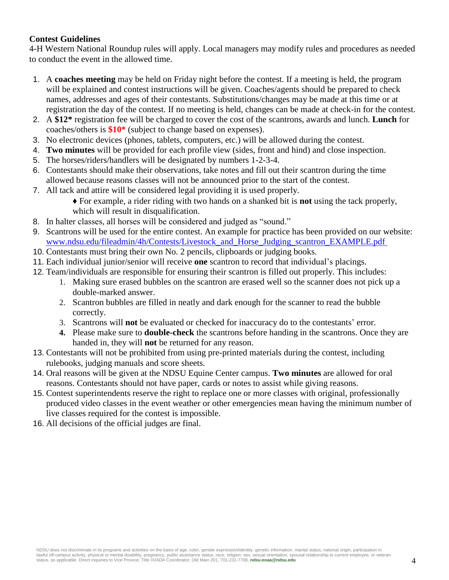## **Contest Guidelines**

4-H Western National Roundup rules will apply. Local managers may modify rules and procedures as needed to conduct the event in the allowed time.

- 1. A **coaches meeting** may be held on Friday night before the contest. If a meeting is held, the program will be explained and contest instructions will be given. Coaches/agents should be prepared to check names, addresses and ages of their contestants. Substitutions/changes may be made at this time or at registration the day of the contest. If no meeting is held, changes can be made at check-in for the contest.
- 2. A **\$12\*** registration fee will be charged to cover the cost of the scantrons, awards and lunch. **Lunch** for coaches/others is **\$10\*** (subject to change based on expenses).
- 3. No electronic devices (phones, tablets, computers, etc.) will be allowed during the contest.
- 4. **Two minutes** will be provided for each profile view (sides, front and hind) and close inspection.
- 5. The horses/riders/handlers will be designated by numbers 1-2-3-4.
- 6. Contestants should make their observations, take notes and fill out their scantron during the time allowed because reasons classes will not be announced prior to the start of the contest.
- 7. All tack and attire will be considered legal providing it is used properly.

♦ For example, a rider riding with two hands on a shanked bit is **not** using the tack properly, which will result in disqualification.

- 8. In halter classes, all horses will be considered and judged as "sound."
- 9. Scantrons will be used for the entire contest. An example for practice has been provided on our website: [www.ndsu.edu/fileadmin/4h/Contests/Livestock\\_and\\_Horse\\_Judging\\_scantron\\_EXAMPLE.pdf](http://www.ndsu.edu/fileadmin/4h/Contests/Livestock_and_Horse_Judging_scantron_EXAMPLE.pdf)
- 10. Contestants must bring their own No. 2 pencils, clipboards or judging books.
- 11. Each individual junior/senior will receive **one** scantron to record that individual's placings.
- 12. Team/individuals are responsible for ensuring their scantron is filled out properly. This includes:
	- 1. Making sure erased bubbles on the scantron are erased well so the scanner does not pick up a double-marked answer.
	- 2. Scantron bubbles are filled in neatly and dark enough for the scanner to read the bubble correctly.
	- 3. Scantrons will **not** be evaluated or checked for inaccuracy do to the contestants' error.
	- **4.** Please make sure to **double-check** the scantrons before handing in the scantrons. Once they are handed in, they will **not** be returned for any reason.
- 13. Contestants will not be prohibited from using pre-printed materials during the contest, including rulebooks, judging manuals and score sheets.
- 14. Oral reasons will be given at the NDSU Equine Center campus. **Two minutes** are allowed for oral reasons. Contestants should not have paper, cards or notes to assist while giving reasons.
- 15. Contest superintendents reserve the right to replace one or more classes with original, professionally produced video classes in the event weather or other emergencies mean having the minimum number of live classes required for the contest is impossible.
- 16. All decisions of the official judges are final.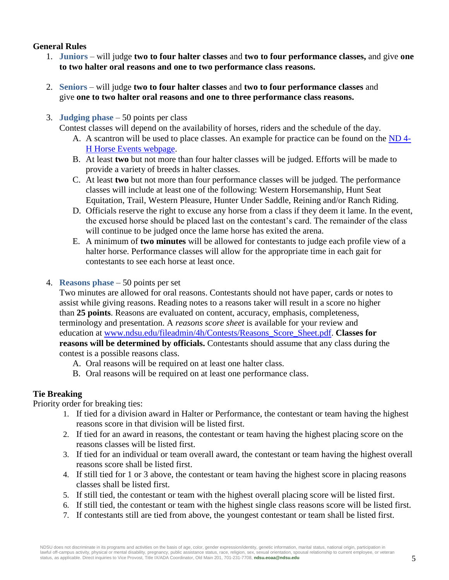## **General Rules**

- 1. **Juniors** will judge **two to four halter classes** and **two to four performance classes,** and give **one to two halter oral reasons and one to two performance class reasons.**
- 2. **Seniors** will judge **two to four halter classes** and **two to four performance classes** and give **one to two halter oral reasons and one to three performance class reasons.**
- 3. **Judging phase** 50 points per class

Contest classes will depend on the availability of horses, riders and the schedule of the day.

- A. A scantron will be used to place classes. An example for practice can be found on the [ND 4-](https://www.ndsu.edu/fileadmin/4h/Contests/Livestock_and_Horse_Judging_scantron_EXAMPLE.pdf) [H Horse Events webpage.](https://www.ndsu.edu/fileadmin/4h/Contests/Livestock_and_Horse_Judging_scantron_EXAMPLE.pdf)
- B. At least **two** but not more than four halter classes will be judged. Efforts will be made to provide a variety of breeds in halter classes.
- C. At least **two** but not more than four performance classes will be judged. The performance classes will include at least one of the following: Western Horsemanship, Hunt Seat Equitation, Trail, Western Pleasure, Hunter Under Saddle, Reining and/or Ranch Riding.
- D. Officials reserve the right to excuse any horse from a class if they deem it lame. In the event, the excused horse should be placed last on the contestant's card. The remainder of the class will continue to be judged once the lame horse has exited the arena.
- E. A minimum of **two minutes** will be allowed for contestants to judge each profile view of a halter horse. Performance classes will allow for the appropriate time in each gait for contestants to see each horse at least once.
- 4. **Reasons phase** 50 points per set

Two minutes are allowed for oral reasons. Contestants should not have paper, cards or notes to assist while giving reasons. Reading notes to a reasons taker will result in a score no higher than **25 points**. Reasons are evaluated on content, accuracy, emphasis, completeness, terminology and presentation. A *reasons score sheet* is available for your review and education at [www.ndsu.edu/fileadmin/4h/Contests/Reasons\\_Score\\_Sheet.pdf.](http://www.ndsu.edu/fileadmin/4h/Contests/Reasons_Score_Sheet.pdf) **Classes for reasons will be determined by officials.** Contestants should assume that any class during the contest is a possible reasons class.

- A. Oral reasons will be required on at least one halter class.
- B. Oral reasons will be required on at least one performance class.

# **Tie Breaking**

Priority order for breaking ties:

- 1. If tied for a division award in Halter or Performance, the contestant or team having the highest reasons score in that division will be listed first.
- 2. If tied for an award in reasons, the contestant or team having the highest placing score on the reasons classes will be listed first.
- 3. If tied for an individual or team overall award, the contestant or team having the highest overall reasons score shall be listed first.
- 4. If still tied for 1 or 3 above, the contestant or team having the highest score in placing reasons classes shall be listed first.
- 5. If still tied, the contestant or team with the highest overall placing score will be listed first.
- 6. If still tied, the contestant or team with the highest single class reasons score will be listed first.
- 7. If contestants still are tied from above, the youngest contestant or team shall be listed first.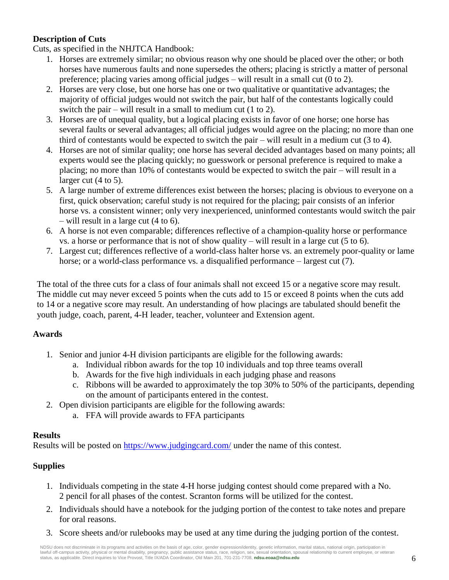## **Description of Cuts**

Cuts, as specified in the NHJTCA Handbook:

- 1. Horses are extremely similar; no obvious reason why one should be placed over the other; or both horses have numerous faults and none supersedes the others; placing is strictly a matter of personal preference; placing varies among official judges – will result in a small cut (0 to 2).
- 2. Horses are very close, but one horse has one or two qualitative or quantitative advantages; the majority of official judges would not switch the pair, but half of the contestants logically could switch the pair – will result in a small to medium cut (1 to 2).
- 3. Horses are of unequal quality, but a logical placing exists in favor of one horse; one horse has several faults or several advantages; all official judges would agree on the placing; no more than one third of contestants would be expected to switch the pair – will result in a medium cut (3 to 4).
- 4. Horses are not of similar quality; one horse has several decided advantages based on many points; all experts would see the placing quickly; no guesswork or personal preference is required to make a placing; no more than 10% of contestants would be expected to switch the pair – will result in a larger cut (4 to 5).
- 5. A large number of extreme differences exist between the horses; placing is obvious to everyone on a first, quick observation; careful study is not required for the placing; pair consists of an inferior horse vs. a consistent winner; only very inexperienced, uninformed contestants would switch the pair – will result in a large cut (4 to 6).
- 6. A horse is not even comparable; differences reflective of a champion-quality horse or performance vs. a horse or performance that is not of show quality – will result in a large cut  $(5 \text{ to } 6)$ .
- 7. Largest cut; differences reflective of a world-class halter horse vs. an extremely poor-quality or lame horse; or a world-class performance vs. a disqualified performance – largest cut (7).

The total of the three cuts for a class of four animals shall not exceed 15 or a negative score may result. The middle cut may never exceed 5 points when the cuts add to 15 or exceed 8 points when the cuts add to 14 or a negative score may result. An understanding of how placings are tabulated should benefit the youth judge, coach, parent, 4-H leader, teacher, volunteer and Extension agent.

# **Awards**

- 1. Senior and junior 4-H division participants are eligible for the following awards:
	- a. Individual ribbon awards for the top 10 individuals and top three teams overall
	- b. Awards for the five high individuals in each judging phase and reasons
	- c. Ribbons will be awarded to approximately the top 30% to 50% of the participants, depending on the amount of participants entered in the contest.
- 2. Open division participants are eligible for the following awards:
	- a. FFA will provide awards to FFA participants

## **Results**

Results will be posted on<https://www.judgingcard.com/> under the name of this contest.

# **Supplies**

- 1. Individuals competing in the state 4-H horse judging contest should come prepared with a No. 2 pencil for all phases of the contest. Scranton forms will be utilized for the contest.
- 2. Individuals should have a notebook for the judging portion of the contest to take notes and prepare for oral reasons.
- 3. Score sheets and/or rulebooks may be used at any time during the judging portion of the contest.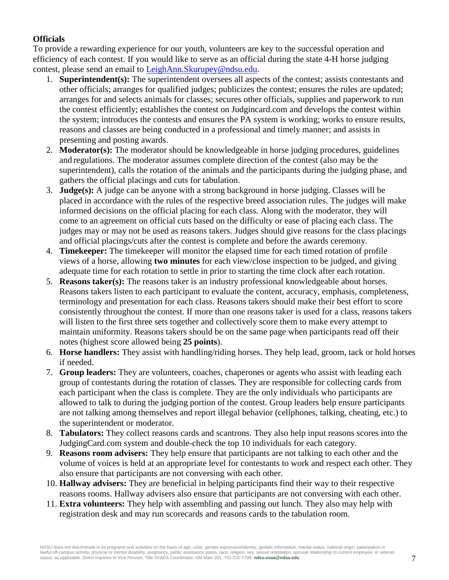## **Officials**

To provide a rewarding experience for our youth, volunteers are key to the successful operation and efficiency of each contest. If you would like to serve as an official during the state 4-H horse judging contest, please send an email to [LeighAnn.Skurupey@ndsu.edu.](mailto:LeighAnn.Skurupey@ndsu.edu)

- 1. **Superintendent(s):** The superintendent oversees all aspects of the contest; assists contestants and other officials; arranges for qualified judges; publicizes the contest; ensures the rules are updated; arranges for and selects animals for classes; secures other officials, supplies and paperwork to run the contest efficiently; establishes the contest on Judgincard.com and develops the contest within the system; introduces the contests and ensures the PA system is working; works to ensure results, reasons and classes are being conducted in a professional and timely manner; and assists in presenting and posting awards.
- 2. **Moderator(s):** The moderator should be knowledgeable in horse judging procedures, guidelines and regulations. The moderator assumes complete direction of the contest (also may be the superintendent), calls the rotation of the animals and the participants during the judging phase, and gathers the official placings and cuts for tabulation.
- 3. **Judge(s):** A judge can be anyone with a strong background in horse judging. Classes will be placed in accordance with the rules of the respective breed association rules. The judges will make informed decisions on the official placing for each class. Along with the moderator, they will come to an agreement on official cuts based on the difficulty or ease of placing each class. The judges may or may not be used as reasons takers. Judges should give reasons for the class placings and official placings/cuts after the contest is complete and before the awards ceremony.
- 4. **Timekeeper:** The timekeeper will monitor the elapsed time for each timed rotation of profile views of a horse, allowing **two minutes** for each view/close inspection to be judged, and giving adequate time for each rotation to settle in prior to starting the time clock after each rotation.
- 5. **Reasons taker(s):** The reasons taker is an industry professional knowledgeable about horses. Reasons takers listen to each participant to evaluate the content, accuracy, emphasis, completeness, terminology and presentation for each class. Reasons takers should make their best effort to score consistently throughout the contest. If more than one reasons taker is used for a class, reasons takers will listen to the first three sets together and collectively score them to make every attempt to maintain uniformity. Reasons takers should be on the same page when participants read off their notes (highest score allowed being **25 points**).
- 6. **Horse handlers:** They assist with handling/riding horses. They help lead, groom, tack or hold horses if needed.
- 7. **Group leaders:** They are volunteers, coaches, chaperones or agents who assist with leading each group of contestants during the rotation of classes. They are responsible for collecting cards from each participant when the class is complete. They are the only individuals who participants are allowed to talk to during the judging portion of the contest. Group leaders help ensure participants are not talking among themselves and report illegal behavior (cellphones, talking, cheating, etc.) to the superintendent or moderator.
- 8. **Tabulators:** They collect reasons cards and scantrons. They also help input reasons scores into the JudgingCard.com system and double-check the top 10 individuals for each category.
- 9. **Reasons room advisers:** They help ensure that participants are not talking to each other and the volume of voices is held at an appropriate level for contestants to work and respect each other. They also ensure that participants are not conversing with each other.
- 10. **Hallway advisers:** They are beneficial in helping participants find their way to their respective reasons rooms. Hallway advisers also ensure that participants are not conversing with each other.
- 11. **Extra volunteers:** They help with assembling and passing out lunch. They also may help with registration desk and may run scorecards and reasons cards to the tabulation room.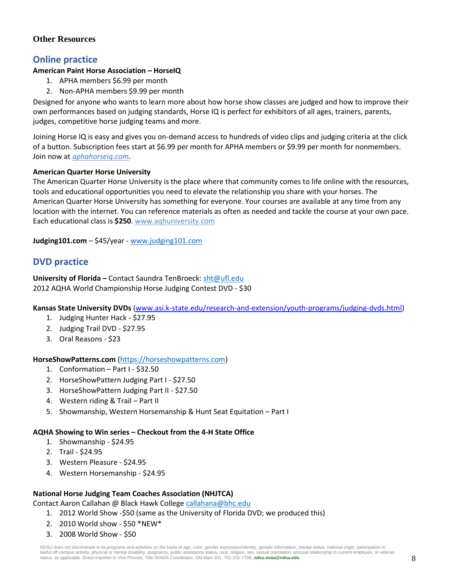## **Other Resources**

# **Online practice**

## **American Paint Horse Association – HorseIQ**

- 1. APHA members \$6.99 per month
- 2. Non-APHA members \$9.99 per month

Designed for anyone who wants to learn more about how horse show classes are judged and how to improve their own performances based on judging standards, Horse IQ is perfect for exhibitors of all ages, trainers, parents, judges, competitive horse judging teams and more.

Joining Horse IQ is easy and gives you on-demand access to hundreds of video clips and judging criteria at the click of a button. Subscription fees start at \$6.99 per month for APHA members or \$9.99 per month for nonmembers. Join now at *[aphahorseiq.com.](http://aphahorseiq.com/)*

#### **American Quarter Horse University**

The American Quarter Horse University is the place where that community comes to life online with the resources, tools and educational opportunities you need to elevate the relationship you share with your horses. The American Quarter Horse University has something for everyone. Your courses are available at any time from any location with the internet. You can reference materials as often as needed and tackle the course at your own pace. Each educational class is **\$250**. www.aqhuniversity.com

**Judging101.com** – \$45/year - [www.judging101.com](http://www.judging101.com/)

# **DVD practice**

**University of Florida –** Contact Saundra TenBroeck: [sht@ufl.edu](mailto:sht@ufl.edu) 2012 AQHA World Championship Horse Judging Contest DVD - \$30

**Kansas State University DVDs** [\(www.asi.k-state.edu/research-and-extension/youth-programs/judging-dvds.html\)](file:///C:/Users/leighann.skurupey/AppData/Local/Microsoft/Windows/INetCache/Content.Outlook/RGWUGF3X/www.asi.k-state.edu/research-and-extension/youth-programs/judging-dvds.html)

- 1. Judging Hunter Hack \$27.95
- 2. Judging Trail DVD \$27.95
- 3. Oral Reasons \$23

#### **HorseShowPatterns.com** (https://horseshowpatterns.com)

- 1. Conformation Part I \$32.50
- 2. HorseShowPattern Judging Part I \$27.50
- 3. HorseShowPattern Judging Part II \$27.50
- 4. Western riding & Trail Part II
- 5. Showmanship, Western Horsemanship & Hunt Seat Equitation Part I

#### **AQHA Showing to Win series – Checkout from the 4-H State Office**

- 1. Showmanship \$24.95
- 2. Trail \$24.95
- 3. Western Pleasure \$24.95
- 4. Western Horsemanship \$24.95

#### **National Horse Judging Team Coaches Association (NHJTCA)**

Contact Aaron Callahan @ Black Hawk Colleg[e callahana@bhc.edu](mailto:callahana@bhc.edu)

- 1. 2012 World Show -\$50 (same as the University of Florida DVD; we produced this)
- 2. 2010 World show \$50 \*NEW\*
- 3. 2008 World Show \$50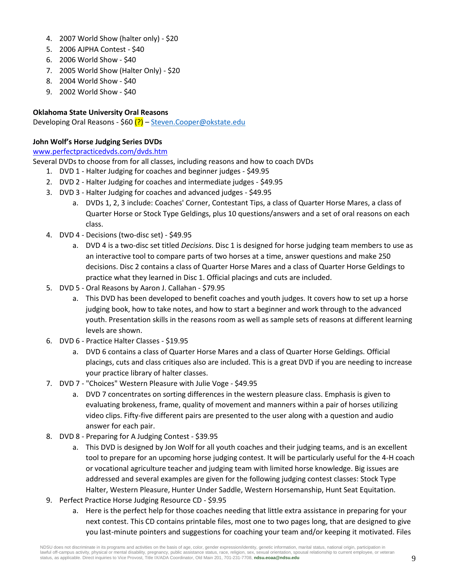- 4. 2007 World Show (halter only) \$20
- 5. 2006 AJPHA Contest \$40
- 6. 2006 World Show \$40
- 7. 2005 World Show (Halter Only) \$20
- 8. 2004 World Show \$40
- 9. 2002 World Show \$40

#### **Oklahoma State University Oral Reasons**

Developing Oral Reasons - \$60 (?) – [Steven.Cooper@okstate.edu](mailto:Steven.Cooper@okstate.edu)

#### **John Wolf's Horse Judging Series DVDs**

#### [www.perfectpracticedvds.com/dvds.htm](file:///C:/Users/leighann.skurupey/AppData/Local/Microsoft/Windows/INetCache/Content.Outlook/RGWUGF3X/www.perfectpracticedvds.com/dvds.htm)

Several DVDs to choose from for all classes, including reasons and how to coach DVDs

- 1. DVD 1 Halter Judging for coaches and beginner judges \$49.95
- 2. DVD 2 Halter Judging for coaches and intermediate judges \$49.95
- 3. DVD 3 Halter Judging for coaches and advanced judges \$49.95
	- a. DVDs 1, 2, 3 include: Coaches' Corner, Contestant Tips, a class of Quarter Horse Mares, a class of Quarter Horse or Stock Type Geldings, plus 10 questions/answers and a set of oral reasons on each class.
- 4. DVD 4 Decisions (two-disc set) \$49.95
	- a. DVD 4 is a two-disc set titled *Decisions*. Disc 1 is designed for horse judging team members to use as an interactive tool to compare parts of two horses at a time, answer questions and make 250 decisions. Disc 2 contains a class of Quarter Horse Mares and a class of Quarter Horse Geldings to practice what they learned in Disc 1. Official placings and cuts are included.
- 5. DVD 5 Oral Reasons by Aaron J. Callahan \$79.95
	- a. This DVD has been developed to benefit coaches and youth judges. It covers how to set up a horse judging book, how to take notes, and how to start a beginner and work through to the advanced youth. Presentation skills in the reasons room as well as sample sets of reasons at different learning levels are shown.
- 6. DVD 6 Practice Halter Classes \$19.95
	- a. DVD 6 contains a class of Quarter Horse Mares and a class of Quarter Horse Geldings. Official placings, cuts and class critiques also are included. This is a great DVD if you are needing to increase your practice library of halter classes.
- 7. DVD 7 "Choices" Western Pleasure with Julie Voge \$49.95
	- a. DVD 7 concentrates on sorting differences in the western pleasure class. Emphasis is given to evaluating brokeness, frame, quality of movement and manners within a pair of horses utilizing video clips. Fifty-five different pairs are presented to the user along with a question and audio answer for each pair.
- 8. DVD 8 Preparing for A Judging Contest \$39.95
	- a. This DVD is designed by Jon Wolf for all youth coaches and their judging teams, and is an excellent tool to prepare for an upcoming horse judging contest. It will be particularly useful for the 4-H coach or vocational agriculture teacher and judging team with limited horse knowledge. Big issues are addressed and several examples are given for the following judging contest classes: Stock Type Halter, Western Pleasure, Hunter Under Saddle, Western Horsemanship, Hunt Seat Equitation.
- 9. Perfect Practice Horse Judging Resource CD \$9.95
	- a. Here is the perfect help for those coaches needing that little extra assistance in preparing for your next contest. This CD contains printable files, most one to two pages long, that are designed to give you last-minute pointers and suggestions for coaching your team and/or keeping it motivated. Files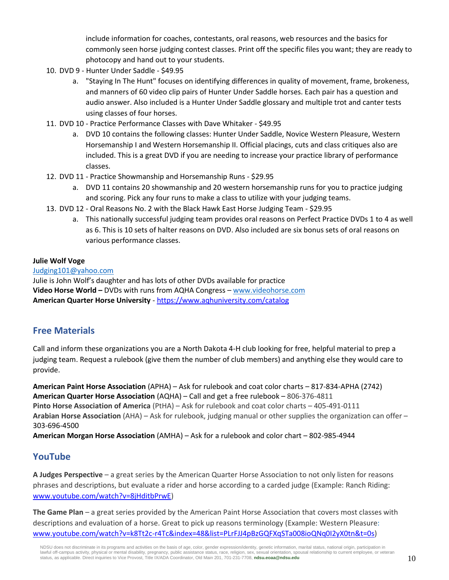include information for coaches, contestants, oral reasons, web resources and the basics for commonly seen horse judging contest classes. Print off the specific files you want; they are ready to photocopy and hand out to your students.

- 10. DVD 9 Hunter Under Saddle \$49.95
	- a. "Staying In The Hunt" focuses on identifying differences in quality of movement, frame, brokeness, and manners of 60 video clip pairs of Hunter Under Saddle horses. Each pair has a question and audio answer. Also included is a Hunter Under Saddle glossary and multiple trot and canter tests using classes of four horses.
- 11. DVD 10 Practice Performance Classes with Dave Whitaker \$49.95
	- a. DVD 10 contains the following classes: Hunter Under Saddle, Novice Western Pleasure, Western Horsemanship I and Western Horsemanship II. Official placings, cuts and class critiques also are included. This is a great DVD if you are needing to increase your practice library of performance classes.
- 12. DVD 11 Practice Showmanship and Horsemanship Runs \$29.95
	- a. DVD 11 contains 20 showmanship and 20 western horsemanship runs for you to practice judging and scoring. Pick any four runs to make a class to utilize with your judging teams.
- 13. DVD 12 Oral Reasons No. 2 with the Black Hawk East Horse Judging Team \$29.95
	- a. This nationally successful judging team provides oral reasons on Perfect Practice DVDs 1 to 4 as well as 6. This is 10 sets of halter reasons on DVD. Also included are six bonus sets of oral reasons on various performance classes.

#### **Julie Wolf Voge**

[Judging101@yahoo.com](mailto:Judging101@yahoo.com) Julie is John Wolf's daughter and has lots of other DVDs available for practice **Video Horse World –** DVDs with runs from AQHA Congress – [www.videohorse.com](http://www.videohorse.com/) **American Quarter Horse University** - <https://www.aqhuniversity.com/catalog>

## **Free Materials**

Call and inform these organizations you are a North Dakota 4-H club looking for free, helpful material to prep a judging team. Request a rulebook (give them the number of club members) and anything else they would care to provide.

**American Paint Horse Association** (APHA) – Ask for rulebook and coat color charts – 817-834-APHA (2742) **American Quarter Horse Association** (AQHA) – Call and get a free rulebook – 806-376-4811 **Pinto Horse Association of America** (PtHA) – Ask for rulebook and coat color charts – 405-491-0111 **Arabian Horse Association** (AHA) – Ask for rulebook, judging manual or other supplies the organization can offer – 303-696-4500

**American Morgan Horse Association** (AMHA) – Ask for a rulebook and color chart – 802-985-4944

# **YouTube**

**A Judges Perspective** – a great series by the American Quarter Horse Association to not only listen for reasons phrases and descriptions, but evaluate a rider and horse according to a carded judge (Example: Ranch Riding: [www.youtube.com/watch?v=8jHditbPrwE\)](http://www.youtube.com/watch?v=8jHditbPrwE)

**The Game Plan** – a great series provided by the American Paint Horse Association that covers most classes with descriptions and evaluation of a horse. Great to pick up reasons terminology (Example: Western Pleasure: [www.youtube.com/watch?v=k8Tt2c-r4Tc&index=48&list=PLrFJJ4pBzGQFXqSTa008ioQNq0I2yX0tn&t=0s\)](http://www.youtube.com/watch?v=k8Tt2c-r4Tc&index=48&list=PLrFJJ4pBzGQFXqSTa008ioQNq0I2yX0tn&t=0s)